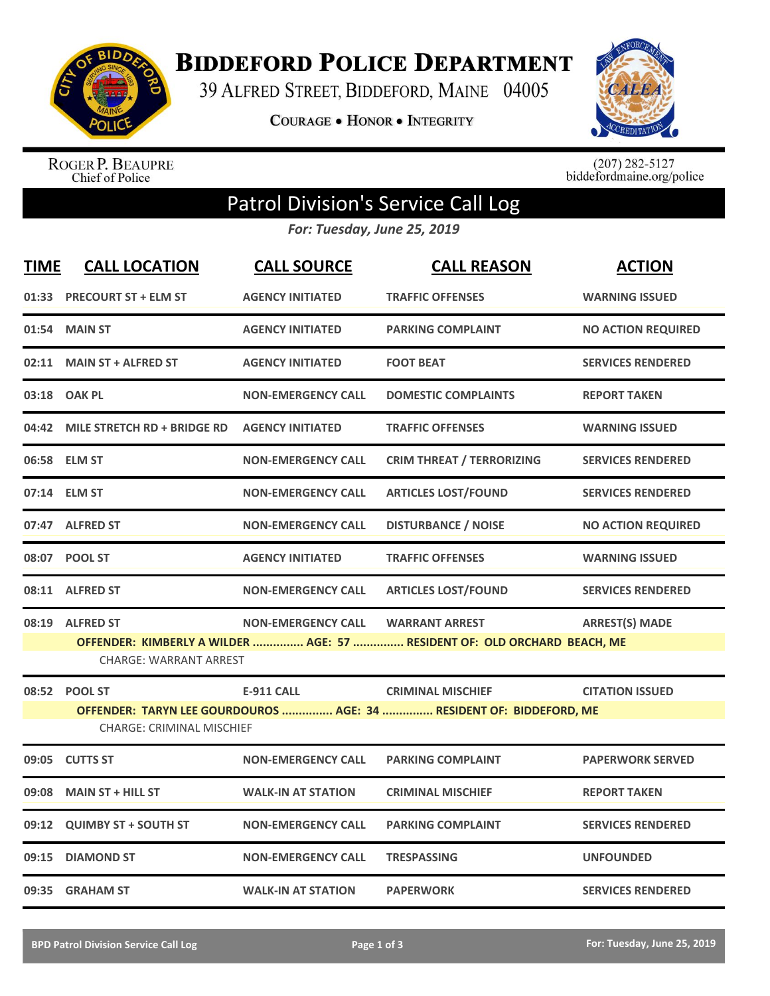

**BIDDEFORD POLICE DEPARTMENT** 

39 ALFRED STREET, BIDDEFORD, MAINE 04005

**COURAGE . HONOR . INTEGRITY** 



ROGER P. BEAUPRE<br>Chief of Police

 $(207)$  282-5127<br>biddefordmaine.org/police

## Patrol Division's Service Call Log

*For: Tuesday, June 25, 2019*

| <b>TIME</b> | <b>CALL LOCATION</b>                                                                             | <b>CALL SOURCE</b>        | <b>CALL REASON</b>                                                       | <b>ACTION</b>             |  |  |  |
|-------------|--------------------------------------------------------------------------------------------------|---------------------------|--------------------------------------------------------------------------|---------------------------|--|--|--|
|             | 01:33 PRECOURT ST + ELM ST                                                                       | <b>AGENCY INITIATED</b>   | <b>TRAFFIC OFFENSES</b>                                                  | <b>WARNING ISSUED</b>     |  |  |  |
| 01:54       | <b>MAIN ST</b>                                                                                   | <b>AGENCY INITIATED</b>   | <b>PARKING COMPLAINT</b>                                                 | <b>NO ACTION REQUIRED</b> |  |  |  |
|             | 02:11 MAIN ST + ALFRED ST                                                                        | <b>AGENCY INITIATED</b>   | <b>FOOT BEAT</b>                                                         | <b>SERVICES RENDERED</b>  |  |  |  |
|             | 03:18 OAK PL                                                                                     | <b>NON-EMERGENCY CALL</b> | <b>DOMESTIC COMPLAINTS</b>                                               | <b>REPORT TAKEN</b>       |  |  |  |
|             | 04:42 MILE STRETCH RD + BRIDGE RD                                                                | <b>AGENCY INITIATED</b>   | <b>TRAFFIC OFFENSES</b>                                                  | <b>WARNING ISSUED</b>     |  |  |  |
|             | 06:58 ELM ST                                                                                     | <b>NON-EMERGENCY CALL</b> | <b>CRIM THREAT / TERRORIZING</b>                                         | <b>SERVICES RENDERED</b>  |  |  |  |
|             | 07:14 ELM ST                                                                                     | <b>NON-EMERGENCY CALL</b> | <b>ARTICLES LOST/FOUND</b>                                               | <b>SERVICES RENDERED</b>  |  |  |  |
|             | 07:47 ALFRED ST                                                                                  | <b>NON-EMERGENCY CALL</b> | <b>DISTURBANCE / NOISE</b>                                               | <b>NO ACTION REQUIRED</b> |  |  |  |
|             | 08:07 POOL ST                                                                                    | <b>AGENCY INITIATED</b>   | <b>TRAFFIC OFFENSES</b>                                                  | <b>WARNING ISSUED</b>     |  |  |  |
|             | 08:11 ALFRED ST                                                                                  | <b>NON-EMERGENCY CALL</b> | <b>ARTICLES LOST/FOUND</b>                                               | <b>SERVICES RENDERED</b>  |  |  |  |
|             | 08:19 ALFRED ST                                                                                  | <b>NON-EMERGENCY CALL</b> | <b>WARRANT ARREST</b>                                                    | <b>ARREST(S) MADE</b>     |  |  |  |
|             | <b>CHARGE: WARRANT ARREST</b>                                                                    |                           | OFFENDER: KIMBERLY A WILDER  AGE: 57  RESIDENT OF: OLD ORCHARD BEACH, ME |                           |  |  |  |
|             | 08:52 POOL ST                                                                                    | <b>E-911 CALL</b>         | <b>CRIMINAL MISCHIEF</b>                                                 | <b>CITATION ISSUED</b>    |  |  |  |
|             | OFFENDER: TARYN LEE GOURDOUROS  AGE: 34  RESIDENT OF: BIDDEFORD, ME<br>CHARGE: CRIMINAL MISCHIEF |                           |                                                                          |                           |  |  |  |
| 09:05       | <b>CUTTS ST</b>                                                                                  | <b>NON-EMERGENCY CALL</b> | <b>PARKING COMPLAINT</b>                                                 | <b>PAPERWORK SERVED</b>   |  |  |  |
| 09:08       | <b>MAIN ST + HILL ST</b>                                                                         | <b>WALK-IN AT STATION</b> | <b>CRIMINAL MISCHIEF</b>                                                 | <b>REPORT TAKEN</b>       |  |  |  |
| 09:12       | <b>QUIMBY ST + SOUTH ST</b>                                                                      | <b>NON-EMERGENCY CALL</b> | <b>PARKING COMPLAINT</b>                                                 | <b>SERVICES RENDERED</b>  |  |  |  |
| 09:15       | <b>DIAMOND ST</b>                                                                                | <b>NON-EMERGENCY CALL</b> | <b>TRESPASSING</b>                                                       | <b>UNFOUNDED</b>          |  |  |  |
|             | 09:35 GRAHAM ST                                                                                  | <b>WALK-IN AT STATION</b> | <b>PAPERWORK</b>                                                         | <b>SERVICES RENDERED</b>  |  |  |  |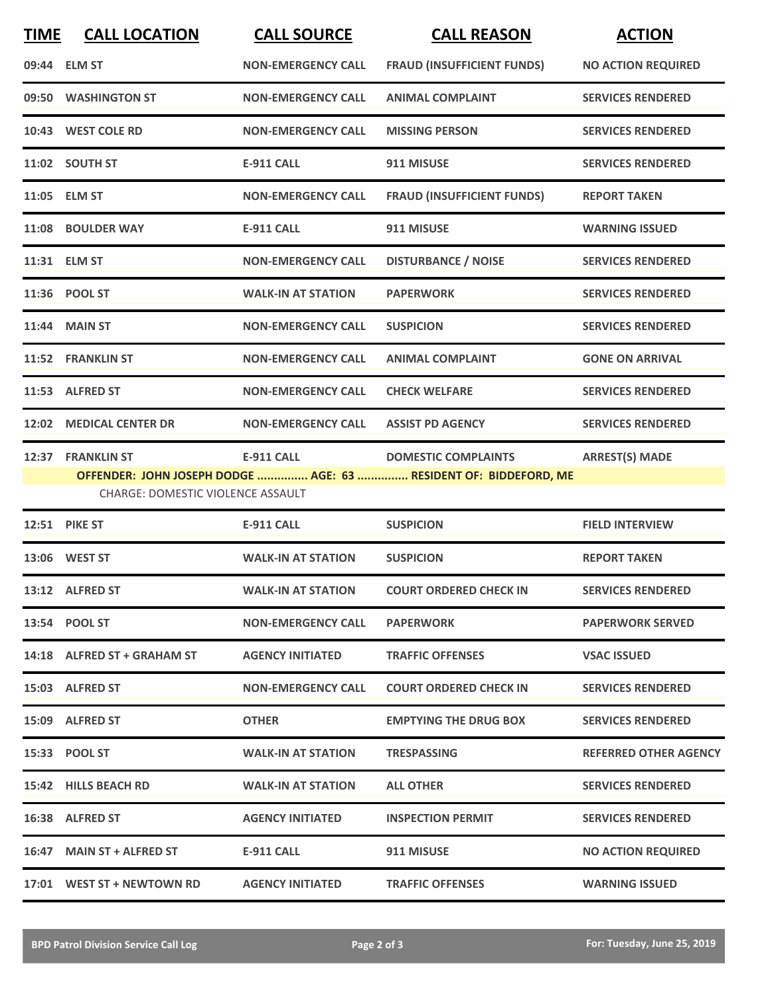| <b>TIME</b> | <b>CALL LOCATION</b>                                   | <b>CALL SOURCE</b>        | <b>CALL REASON</b>                                                                             | <b>ACTION</b>                |
|-------------|--------------------------------------------------------|---------------------------|------------------------------------------------------------------------------------------------|------------------------------|
|             | 09:44 ELM ST                                           | <b>NON-EMERGENCY CALL</b> | <b>FRAUD (INSUFFICIENT FUNDS)</b>                                                              | <b>NO ACTION REQUIRED</b>    |
|             | 09:50 WASHINGTON ST                                    | <b>NON-EMERGENCY CALL</b> | <b>ANIMAL COMPLAINT</b>                                                                        | <b>SERVICES RENDERED</b>     |
|             | 10:43 WEST COLE RD                                     | <b>NON-EMERGENCY CALL</b> | <b>MISSING PERSON</b>                                                                          | <b>SERVICES RENDERED</b>     |
|             | 11:02 SOUTH ST                                         | <b>E-911 CALL</b>         | 911 MISUSE                                                                                     | <b>SERVICES RENDERED</b>     |
|             | 11:05 ELM ST                                           | <b>NON-EMERGENCY CALL</b> | <b>FRAUD (INSUFFICIENT FUNDS)</b>                                                              | <b>REPORT TAKEN</b>          |
|             | 11:08 BOULDER WAY                                      | <b>E-911 CALL</b>         | 911 MISUSE                                                                                     | <b>WARNING ISSUED</b>        |
|             | 11:31 ELM ST                                           | <b>NON-EMERGENCY CALL</b> | <b>DISTURBANCE / NOISE</b>                                                                     | <b>SERVICES RENDERED</b>     |
|             | 11:36 POOL ST                                          | <b>WALK-IN AT STATION</b> | <b>PAPERWORK</b>                                                                               | <b>SERVICES RENDERED</b>     |
|             | 11:44 MAIN ST                                          | <b>NON-EMERGENCY CALL</b> | <b>SUSPICION</b>                                                                               | <b>SERVICES RENDERED</b>     |
|             | 11:52 FRANKLIN ST                                      | <b>NON-EMERGENCY CALL</b> | <b>ANIMAL COMPLAINT</b>                                                                        | <b>GONE ON ARRIVAL</b>       |
|             | 11:53 ALFRED ST                                        | <b>NON-EMERGENCY CALL</b> | <b>CHECK WELFARE</b>                                                                           | <b>SERVICES RENDERED</b>     |
|             | 12:02 MEDICAL CENTER DR                                | <b>NON-EMERGENCY CALL</b> | <b>ASSIST PD AGENCY</b>                                                                        | <b>SERVICES RENDERED</b>     |
|             | 12:37 FRANKLIN ST<br>CHARGE: DOMESTIC VIOLENCE ASSAULT | <b>E-911 CALL</b>         | <b>DOMESTIC COMPLAINTS</b><br>OFFENDER: JOHN JOSEPH DODGE  AGE: 63  RESIDENT OF: BIDDEFORD, ME | <b>ARREST(S) MADE</b>        |
|             | 12:51 PIKE ST                                          | <b>E-911 CALL</b>         | <b>SUSPICION</b>                                                                               | <b>FIELD INTERVIEW</b>       |
|             | 13:06 WEST ST                                          | <b>WALK-IN AT STATION</b> | <b>SUSPICION</b>                                                                               | <b>REPORT TAKEN</b>          |
|             | 13:12 ALFRED ST                                        | <b>WALK-IN AT STATION</b> | <b>COURT ORDERED CHECK IN</b>                                                                  | <b>SERVICES RENDERED</b>     |
|             | 13:54 POOL ST                                          | <b>NON-EMERGENCY CALL</b> | <b>PAPERWORK</b>                                                                               | <b>PAPERWORK SERVED</b>      |
|             | 14:18 ALFRED ST + GRAHAM ST                            | <b>AGENCY INITIATED</b>   | <b>TRAFFIC OFFENSES</b>                                                                        | <b>VSAC ISSUED</b>           |
|             | 15:03 ALFRED ST                                        | <b>NON-EMERGENCY CALL</b> | <b>COURT ORDERED CHECK IN</b>                                                                  | <b>SERVICES RENDERED</b>     |
|             | 15:09 ALFRED ST                                        | <b>OTHER</b>              | <b>EMPTYING THE DRUG BOX</b>                                                                   | <b>SERVICES RENDERED</b>     |
|             | 15:33 POOL ST                                          | <b>WALK-IN AT STATION</b> | <b>TRESPASSING</b>                                                                             | <b>REFERRED OTHER AGENCY</b> |
|             | 15:42 HILLS BEACH RD                                   | <b>WALK-IN AT STATION</b> | <b>ALL OTHER</b>                                                                               | <b>SERVICES RENDERED</b>     |
|             | 16:38 ALFRED ST                                        | <b>AGENCY INITIATED</b>   | <b>INSPECTION PERMIT</b>                                                                       | <b>SERVICES RENDERED</b>     |
|             | 16:47 MAIN ST + ALFRED ST                              | E-911 CALL                | 911 MISUSE                                                                                     | <b>NO ACTION REQUIRED</b>    |
|             | 17:01 WEST ST + NEWTOWN RD                             | <b>AGENCY INITIATED</b>   | <b>TRAFFIC OFFENSES</b>                                                                        | <b>WARNING ISSUED</b>        |